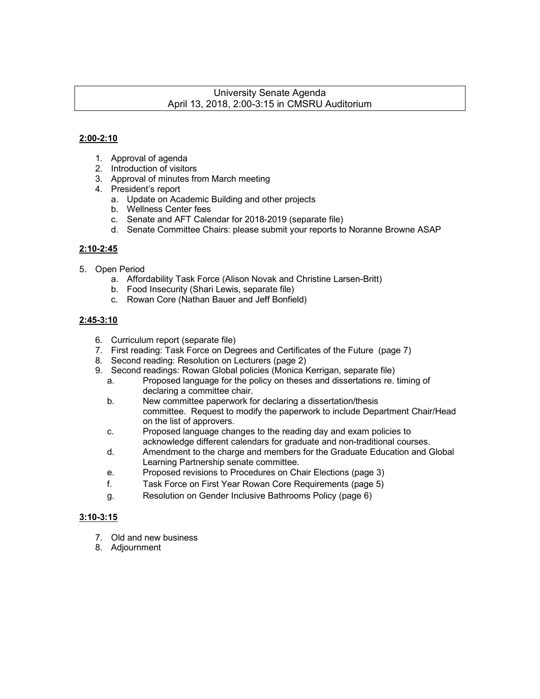#### University Senate Agenda April 13, 2018, 2:00-3:15 in CMSRU Auditorium

#### **2:00-2:10**

- 1. Approval of agenda
- 2. Introduction of visitors
- 3. Approval of minutes from March meeting
- 4. President's report
	- a. Update on Academic Building and other projects
	- b. Wellness Center fees
	- c. Senate and AFT Calendar for 2018-2019 (separate file)
	- d. Senate Committee Chairs: please submit your reports to Noranne Browne ASAP

#### **2:10-2:45**

- 5. Open Period
	- a. Affordability Task Force (Alison Novak and Christine Larsen-Britt)
	- b. Food Insecurity (Shari Lewis, separate file)
	- c. Rowan Core (Nathan Bauer and Jeff Bonfield)

#### **2:45-3:10**

- 6. Curriculum report (separate file)
- 7. First reading: Task Force on Degrees and Certificates of the Future (page 7)
- 8. Second reading: Resolution on Lecturers (page 2)
- 9. Second readings: Rowan Global policies (Monica Kerrigan, separate file)
	- a. Proposed language for the policy on theses and dissertations re. timing of declaring a committee chair.
	- b. New committee paperwork for declaring a dissertation/thesis committee. Request to modify the paperwork to include Department Chair/Head on the list of approvers.
	- c. Proposed language changes to the reading day and exam policies to acknowledge different calendars for graduate and non-traditional courses.
	- d. Amendment to the charge and members for the Graduate Education and Global Learning Partnership senate committee.
	- e. Proposed revisions to Procedures on Chair Elections (page 3)
	- f. Task Force on First Year Rowan Core Requirements (page 5)
	- g. Resolution on Gender Inclusive Bathrooms Policy (page 6)

#### **3:10-3:15**

- 7. Old and new business
- 8. Adjournment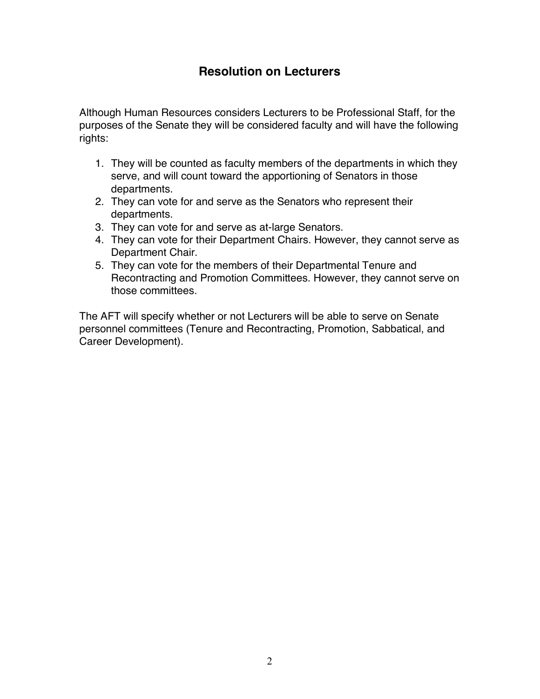# **Resolution on Lecturers**

Although Human Resources considers Lecturers to be Professional Staff, for the purposes of the Senate they will be considered faculty and will have the following rights:

- 1. They will be counted as faculty members of the departments in which they serve, and will count toward the apportioning of Senators in those departments.
- 2. They can vote for and serve as the Senators who represent their departments.
- 3. They can vote for and serve as at-large Senators.
- 4. They can vote for their Department Chairs. However, they cannot serve as Department Chair.
- 5. They can vote for the members of their Departmental Tenure and Recontracting and Promotion Committees. However, they cannot serve on those committees.

The AFT will specify whether or not Lecturers will be able to serve on Senate personnel committees (Tenure and Recontracting, Promotion, Sabbatical, and Career Development).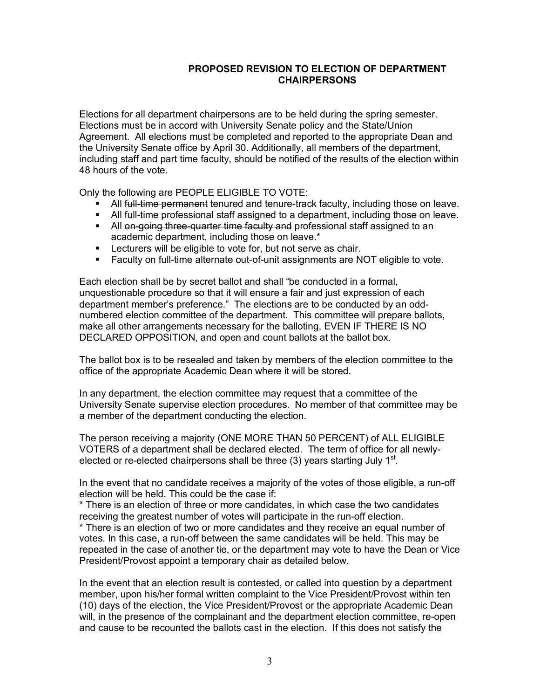#### **PROPOSED REVISION TO ELECTION OF DEPARTMENT CHAIRPERSONS**

Elections for all department chairpersons are to be held during the spring semester. Elections must be in accord with University Senate policy and the State/Union Agreement. All elections must be completed and reported to the appropriate Dean and the University Senate office by April 30. Additionally, all members of the department, including staff and part time faculty, should be notified of the results of the election within 48 hours of the vote.

Only the following are PEOPLE ELIGIBLE TO VOTE:

- All full-time permanent tenured and tenure-track faculty, including those on leave.
- **All full-time professional staff assigned to a department, including those on leave.**
- All on-going three-quarter time faculty and professional staff assigned to an academic department, including those on leave.\*
- **EXECT** Lecturers will be eligible to vote for, but not serve as chair.
- § Faculty on full-time alternate out-of-unit assignments are NOT eligible to vote.

Each election shall be by secret ballot and shall "be conducted in a formal, unquestionable procedure so that it will ensure a fair and just expression of each department member's preference." The elections are to be conducted by an oddnumbered election committee of the department. This committee will prepare ballots, make all other arrangements necessary for the balloting, EVEN IF THERE IS NO DECLARED OPPOSITION, and open and count ballots at the ballot box.

The ballot box is to be resealed and taken by members of the election committee to the office of the appropriate Academic Dean where it will be stored.

In any department, the election committee may request that a committee of the University Senate supervise election procedures. No member of that committee may be a member of the department conducting the election.

The person receiving a majority (ONE MORE THAN 50 PERCENT) of ALL ELIGIBLE VOTERS of a department shall be declared elected. The term of office for all newlyelected or re-elected chairpersons shall be three  $(3)$  years starting July 1<sup>st</sup>.

In the event that no candidate receives a majority of the votes of those eligible, a run-off election will be held. This could be the case if:

\* There is an election of three or more candidates, in which case the two candidates receiving the greatest number of votes will participate in the run-off election.

\* There is an election of two or more candidates and they receive an equal number of votes. In this case, a run-off between the same candidates will be held. This may be repeated in the case of another tie, or the department may vote to have the Dean or Vice President/Provost appoint a temporary chair as detailed below.

In the event that an election result is contested, or called into question by a department member, upon his/her formal written complaint to the Vice President/Provost within ten (10) days of the election, the Vice President/Provost or the appropriate Academic Dean will, in the presence of the complainant and the department election committee, re-open and cause to be recounted the ballots cast in the election. If this does not satisfy the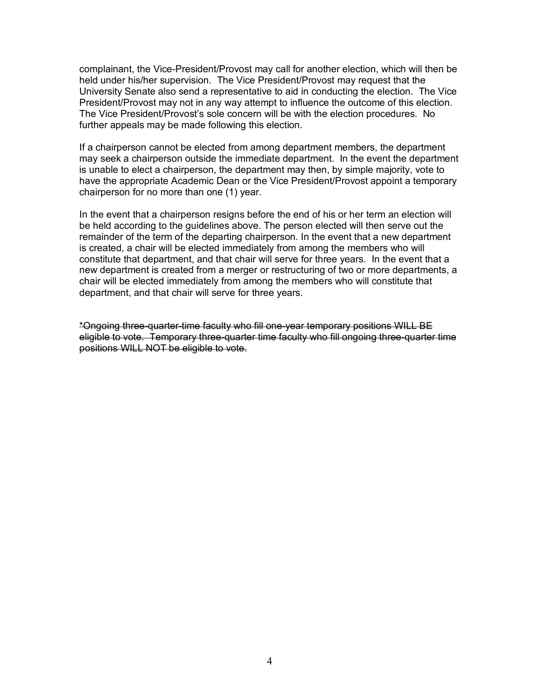complainant, the Vice-President/Provost may call for another election, which will then be held under his/her supervision. The Vice President/Provost may request that the University Senate also send a representative to aid in conducting the election. The Vice President/Provost may not in any way attempt to influence the outcome of this election. The Vice President/Provost's sole concern will be with the election procedures. No further appeals may be made following this election.

If a chairperson cannot be elected from among department members, the department may seek a chairperson outside the immediate department. In the event the department is unable to elect a chairperson, the department may then, by simple majority, vote to have the appropriate Academic Dean or the Vice President/Provost appoint a temporary chairperson for no more than one (1) year.

In the event that a chairperson resigns before the end of his or her term an election will be held according to the guidelines above. The person elected will then serve out the remainder of the term of the departing chairperson. In the event that a new department is created, a chair will be elected immediately from among the members who will constitute that department, and that chair will serve for three years. In the event that a new department is created from a merger or restructuring of two or more departments, a chair will be elected immediately from among the members who will constitute that department, and that chair will serve for three years.

\*Ongoing three-quarter-time faculty who fill one-year temporary positions WILL BE eligible to vote. Temporary three-quarter time faculty who fill ongoing three-quarter time positions WILL NOT be eligible to vote.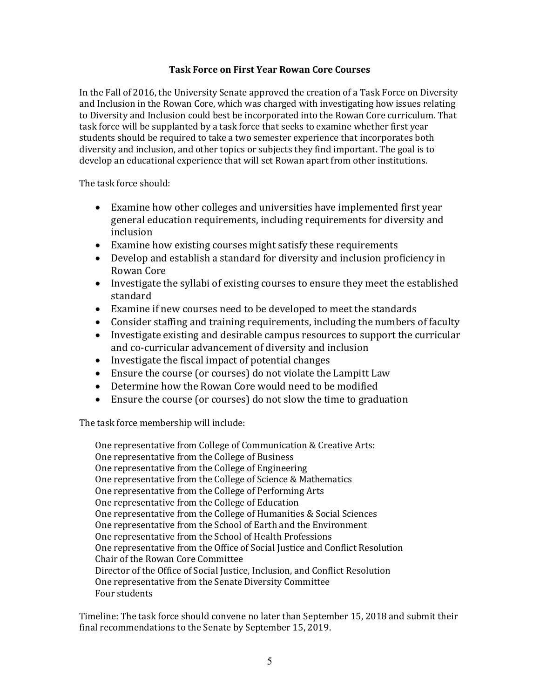#### **Task Force on First Year Rowan Core Courses**

In the Fall of 2016, the University Senate approved the creation of a Task Force on Diversity and Inclusion in the Rowan Core, which was charged with investigating how issues relating to Diversity and Inclusion could best be incorporated into the Rowan Core curriculum. That task force will be supplanted by a task force that seeks to examine whether first year students should be required to take a two semester experience that incorporates both diversity and inclusion, and other topics or subjects they find important. The goal is to develop an educational experience that will set Rowan apart from other institutions.

The task force should:

- Examine how other colleges and universities have implemented first year general education requirements, including requirements for diversity and inclusion
- Examine how existing courses might satisfy these requirements
- Develop and establish a standard for diversity and inclusion proficiency in Rowan Core
- Investigate the syllabi of existing courses to ensure they meet the established standard
- Examine if new courses need to be developed to meet the standards
- Consider staffing and training requirements, including the numbers of faculty
- Investigate existing and desirable campus resources to support the curricular and co-curricular advancement of diversity and inclusion
- $\bullet$  Investigate the fiscal impact of potential changes
- Ensure the course (or courses) do not violate the Lampitt Law
- Determine how the Rowan Core would need to be modified
- Ensure the course (or courses) do not slow the time to graduation

The task force membership will include:

One representative from College of Communication & Creative Arts: One representative from the College of Business One representative from the College of Engineering One representative from the College of Science & Mathematics One representative from the College of Performing Arts One representative from the College of Education One representative from the College of Humanities & Social Sciences One representative from the School of Earth and the Environment One representative from the School of Health Professions One representative from the Office of Social Justice and Conflict Resolution Chair of the Rowan Core Committee Director of the Office of Social Justice, Inclusion, and Conflict Resolution One representative from the Senate Diversity Committee Four students

Timeline: The task force should convene no later than September 15, 2018 and submit their final recommendations to the Senate by September 15, 2019.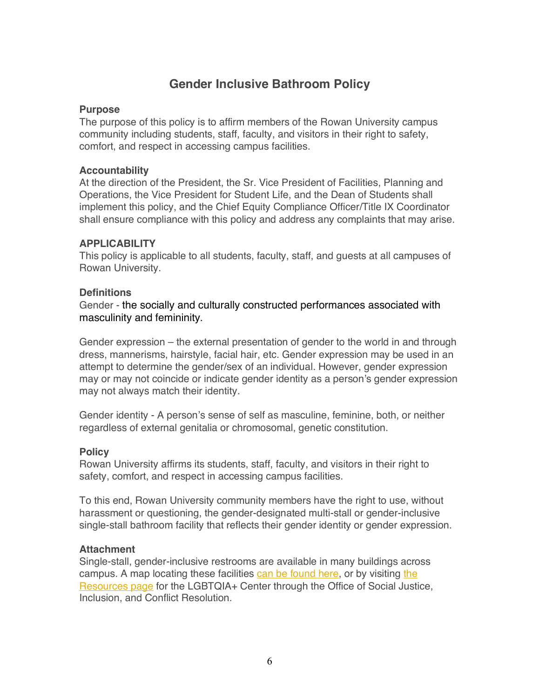# **Gender Inclusive Bathroom Policy**

### **Purpose**

The purpose of this policy is to affirm members of the Rowan University campus community including students, staff, faculty, and visitors in their right to safety, comfort, and respect in accessing campus facilities.

### **Accountability**

At the direction of the President, the Sr. Vice President of Facilities, Planning and Operations, the Vice President for Student Life, and the Dean of Students shall implement this policy, and the Chief Equity Compliance Officer/Title IX Coordinator shall ensure compliance with this policy and address any complaints that may arise.

### **APPLICABILITY**

This policy is applicable to all students, faculty, staff, and guests at all campuses of Rowan University.

### **Definitions**

Gender - the socially and culturally constructed performances associated with masculinity and femininity.

Gender expression – the external presentation of gender to the world in and through dress, mannerisms, hairstyle, facial hair, etc. Gender expression may be used in an attempt to determine the gender/sex of an individual. However, gender expression may or may not coincide or indicate gender identity as a person's gender expression may not always match their identity.

Gender identity - A person's sense of self as masculine, feminine, both, or neither regardless of external genitalia or chromosomal, genetic constitution.

## **Policy**

Rowan University affirms its students, staff, faculty, and visitors in their right to safety, comfort, and respect in accessing campus facilities.

To this end, Rowan University community members have the right to use, without harassment or questioning, the gender-designated multi-stall or gender-inclusive single-stall bathroom facility that reflects their gender identity or gender expression.

#### **Attachment**

Single-stall, gender-inclusive restrooms are available in many buildings across campus. A map locating these facilities can be found here, or by visiting the Resources page for the LGBTQIA+ Center through the Office of Social Justice, Inclusion, and Conflict Resolution.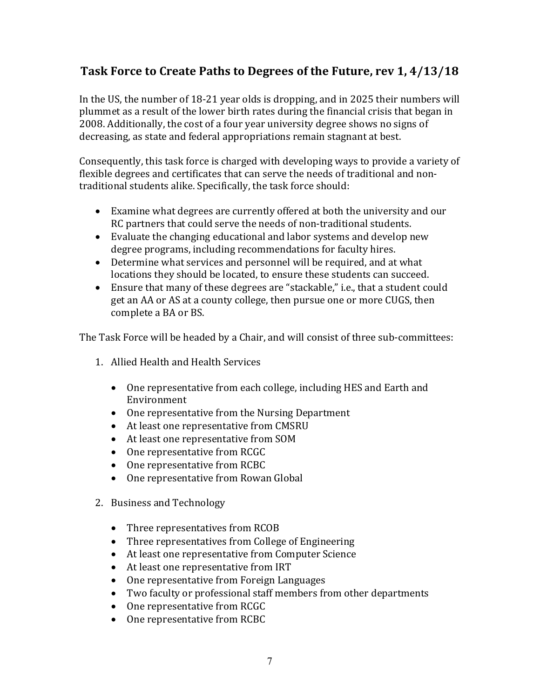# **Task Force to Create Paths to Degrees of the Future, rev 1, 4/13/18**

In the US, the number of  $18-21$  year olds is dropping, and in 2025 their numbers will plummet as a result of the lower birth rates during the financial crisis that began in 2008. Additionally, the cost of a four year university degree shows no signs of decreasing, as state and federal appropriations remain stagnant at best.

Consequently, this task force is charged with developing ways to provide a variety of flexible degrees and certificates that can serve the needs of traditional and nontraditional students alike. Specifically, the task force should:

- Examine what degrees are currently offered at both the university and our RC partners that could serve the needs of non-traditional students.
- Evaluate the changing educational and labor systems and develop new degree programs, including recommendations for faculty hires.
- Determine what services and personnel will be required, and at what locations they should be located, to ensure these students can succeed.
- Ensure that many of these degrees are "stackable," i.e., that a student could get an AA or AS at a county college, then pursue one or more CUGS, then complete a BA or BS.

The Task Force will be headed by a Chair, and will consist of three sub-committees:

- 1. Allied Health and Health Services
	- One representative from each college, including HES and Earth and Environment
	- One representative from the Nursing Department
	- At least one representative from CMSRU
	- At least one representative from SOM
	- One representative from RCGC
	- One representative from RCBC
	- One representative from Rowan Global
- 2. Business and Technology
	- Three representatives from RCOB
	- Three representatives from College of Engineering
	- At least one representative from Computer Science
	- At least one representative from IRT
	- One representative from Foreign Languages
	- Two faculty or professional staff members from other departments
	- One representative from RCGC
	- One representative from RCBC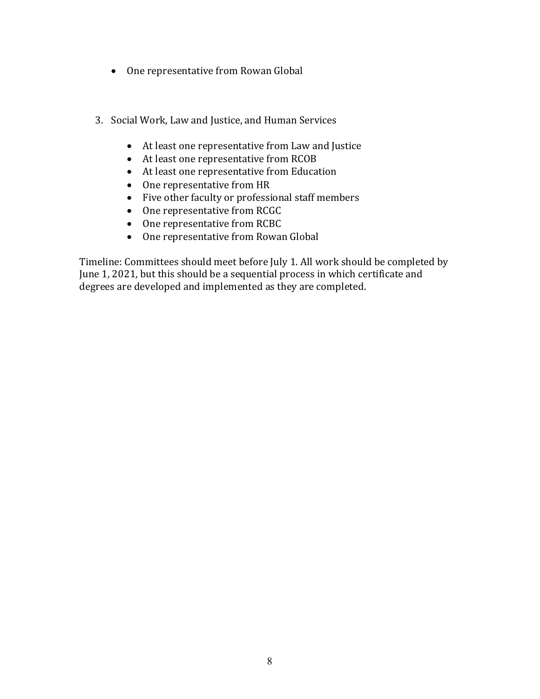- One representative from Rowan Global
- 3. Social Work, Law and Justice, and Human Services
	- At least one representative from Law and Justice
	- At least one representative from RCOB
	- At least one representative from Education
	- One representative from HR
	- Five other faculty or professional staff members
	- One representative from RCGC
	- One representative from RCBC
	- One representative from Rowan Global

Timeline: Committees should meet before July 1. All work should be completed by June 1, 2021, but this should be a sequential process in which certificate and degrees are developed and implemented as they are completed.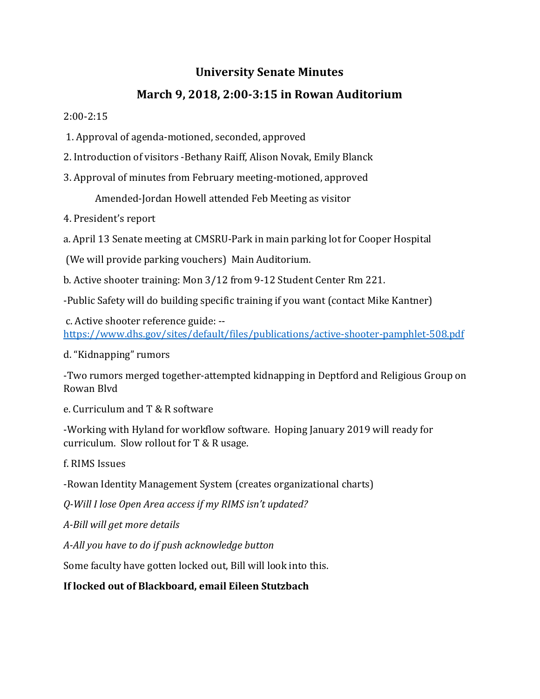# **University Senate Minutes**

# **March 9, 2018, 2:00-3:15 in Rowan Auditorium**

## 2:00-2:15

- 1. Approval of agenda-motioned, seconded, approved
- 2. Introduction of visitors -Bethany Raiff, Alison Novak, Emily Blanck
- 3. Approval of minutes from February meeting-motioned, approved

Amended-Jordan Howell attended Feb Meeting as visitor

- 4. President's report
- a. April 13 Senate meeting at CMSRU-Park in main parking lot for Cooper Hospital
- (We will provide parking vouchers) Main Auditorium.
- b. Active shooter training: Mon 3/12 from 9-12 Student Center Rm 221.
- -Public Safety will do building specific training if you want (contact Mike Kantner)
- c. Active shooter reference guide: -https://www.dhs.gov/sites/default/files/publications/active-shooter-pamphlet-508.pdf
- d. "Kidnapping" rumors
- -Two rumors merged together-attempted kidnapping in Deptford and Religious Group on Rowan Blvd
- e. Curriculum and T & R software
- -Working with Hyland for workflow software. Hoping January 2019 will ready for curriculum. Slow rollout for  $T & R$  usage.
- f. RIMS Issues
- -Rowan Identity Management System (creates organizational charts)
- *Q-Will I lose Open Area access if my RIMS isn't updated?*
- *A-Bill will get more details*
- *A-All you have to do if push acknowledge button*
- Some faculty have gotten locked out, Bill will look into this.

## **If locked out of Blackboard, email Eileen Stutzbach**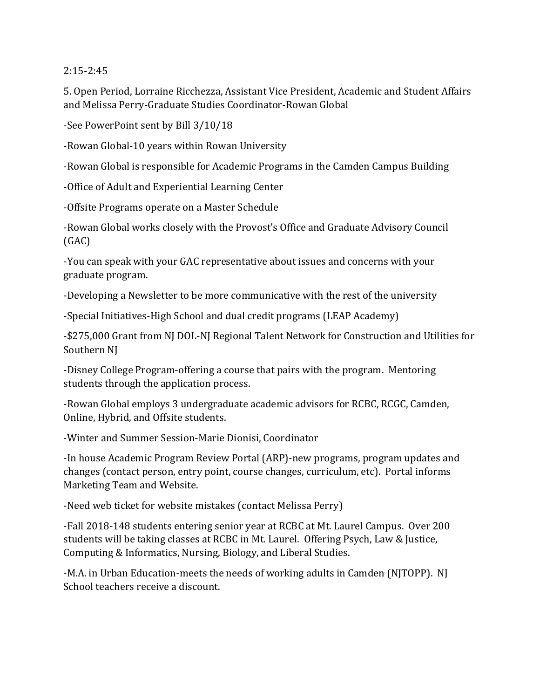2:15-2:45 

5. Open Period, Lorraine Ricchezza, Assistant Vice President, Academic and Student Affairs and Melissa Perry-Graduate Studies Coordinator-Rowan Global

-See PowerPoint sent by Bill 3/10/18

-Rowan Global-10 years within Rowan University

-Rowan Global is responsible for Academic Programs in the Camden Campus Building

-Office of Adult and Experiential Learning Center

-Offsite Programs operate on a Master Schedule

-Rowan Global works closely with the Provost's Office and Graduate Advisory Council (GAC)

-You can speak with your GAC representative about issues and concerns with your graduate program.

-Developing a Newsletter to be more communicative with the rest of the university

-Special Initiatives-High School and dual credit programs (LEAP Academy)

-\$275,000 Grant from NJ DOL-NJ Regional Talent Network for Construction and Utilities for Southern NJ

-Disney College Program-offering a course that pairs with the program. Mentoring students through the application process.

-Rowan Global employs 3 undergraduate academic advisors for RCBC, RCGC, Camden, Online, Hybrid, and Offsite students.

-Winter and Summer Session-Marie Dionisi, Coordinator

-In house Academic Program Review Portal (ARP)-new programs, program updates and changes (contact person, entry point, course changes, curriculum, etc). Portal informs Marketing Team and Website.

-Need web ticket for website mistakes (contact Melissa Perry)

-Fall 2018-148 students entering senior year at RCBC at Mt. Laurel Campus. Over 200 students will be taking classes at RCBC in Mt. Laurel. Offering Psych, Law & Justice, Computing & Informatics, Nursing, Biology, and Liberal Studies.

-M.A. in Urban Education-meets the needs of working adults in Camden (NJTOPP). NJ School teachers receive a discount.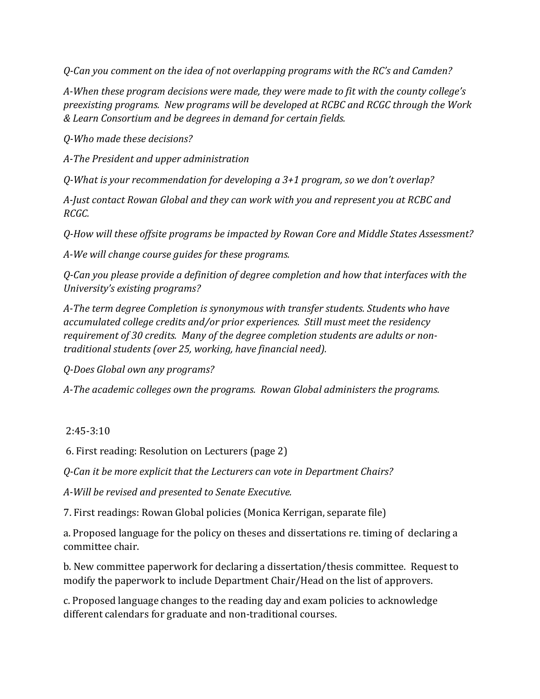*Q-Can you comment on the idea of not overlapping programs with the RC's and Camden?*

A-When these program decisions were made, they were made to fit with the county college's preexisting programs. New programs will be developed at RCBC and RCGC through the Work *& Learn Consortium and be degrees in demand for certain fields.*

*Q-Who made these decisions?*

A-The President and upper administration

*Q-What is your recommendation for developing a 3+1 program, so we don't overlap?* 

A-Just contact Rowan Global and they can work with you and represent you at RCBC and *RCGC.*

*Q-How will these offsite programs be impacted by Rowan Core and Middle States Assessment?*

*A-We will change course guides for these programs.*

*Q-Can you please provide a definition of degree completion and how that interfaces with the University's existing programs?* 

A-The term degree Completion is synonymous with transfer students. Students who have *accumulated college credits and/or prior experiences. Still must meet the residency* requirement of 30 credits. Many of the degree completion students are adults or non*traditional students (over 25, working, have financial need).* 

*Q-Does Global own any programs?*

*A-The academic colleges own the programs. Rowan Global administers the programs.* 

## 2:45-3:10

6. First reading: Resolution on Lecturers (page 2)

*Q-Can it be more explicit that the Lecturers can vote in Department Chairs?*

*A-Will be revised and presented to Senate Executive.*

7. First readings: Rowan Global policies (Monica Kerrigan, separate file)

a. Proposed language for the policy on theses and dissertations re. timing of declaring a committee chair. 

b. New committee paperwork for declaring a dissertation/thesis committee. Request to modify the paperwork to include Department Chair/Head on the list of approvers.

c. Proposed language changes to the reading day and exam policies to acknowledge different calendars for graduate and non-traditional courses.